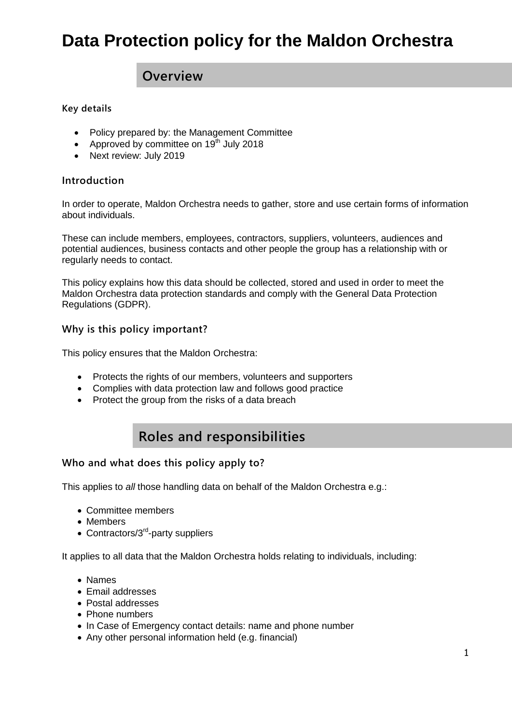## **Data Protection policy for the Maldon Orchestra**

### **Overview**

#### **Key details**

- Policy prepared by: the Management Committee
- Approved by committee on  $19<sup>th</sup>$  July 2018
- Next review: July 2019

#### **Introduction**

In order to operate, Maldon Orchestra needs to gather, store and use certain forms of information about individuals.

These can include members, employees, contractors, suppliers, volunteers, audiences and potential audiences, business contacts and other people the group has a relationship with or regularly needs to contact.

This policy explains how this data should be collected, stored and used in order to meet the Maldon Orchestra data protection standards and comply with the General Data Protection Regulations (GDPR).

### **Why is this policy important?**

This policy ensures that the Maldon Orchestra:

- Protects the rights of our members, volunteers and supporters
- Complies with data protection law and follows good practice
- Protect the group from the risks of a data breach

### **Roles and responsibilities**

### **Who and what does this policy apply to?**

This applies to *all* those handling data on behalf of the Maldon Orchestra e.g.:

- Committee members
- Members
- Contractors/3<sup>rd</sup>-party suppliers

It applies to all data that the Maldon Orchestra holds relating to individuals, including:

- Names
- Email addresses
- Postal addresses
- Phone numbers
- In Case of Emergency contact details: name and phone number
- Any other personal information held (e.g. financial)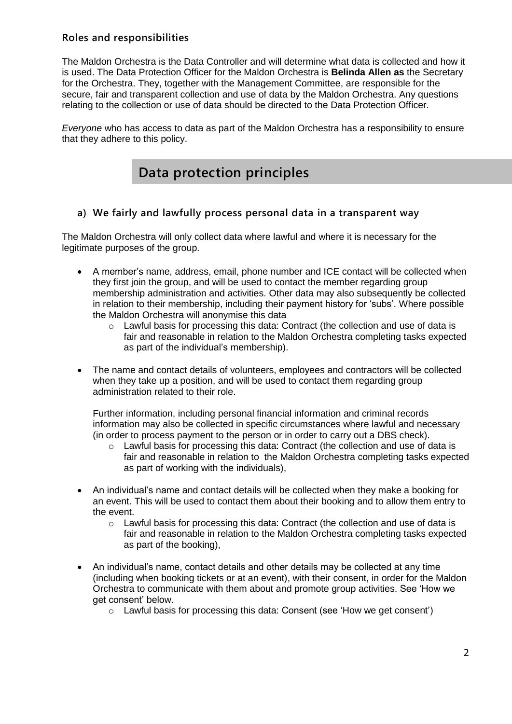### **Roles and responsibilities**

The Maldon Orchestra is the Data Controller and will determine what data is collected and how it is used. The Data Protection Officer for the Maldon Orchestra is **Belinda Allen as** the Secretary for the Orchestra. They, together with the Management Committee, are responsible for the secure, fair and transparent collection and use of data by the Maldon Orchestra. Any questions relating to the collection or use of data should be directed to the Data Protection Officer.

*Everyone* who has access to data as part of the Maldon Orchestra has a responsibility to ensure that they adhere to this policy.

### **Data protection principles**

### **a) We fairly and lawfully process personal data in a transparent way**

The Maldon Orchestra will only collect data where lawful and where it is necessary for the legitimate purposes of the group.

- A member's name, address, email, phone number and ICE contact will be collected when they first join the group, and will be used to contact the member regarding group membership administration and activities. Other data may also subsequently be collected in relation to their membership, including their payment history for 'subs'. Where possible the Maldon Orchestra will anonymise this data
	- $\circ$  Lawful basis for processing this data: Contract (the collection and use of data is fair and reasonable in relation to the Maldon Orchestra completing tasks expected as part of the individual's membership).
- The name and contact details of volunteers, employees and contractors will be collected when they take up a position, and will be used to contact them regarding group administration related to their role.

Further information, including personal financial information and criminal records information may also be collected in specific circumstances where lawful and necessary (in order to process payment to the person or in order to carry out a DBS check).

- $\circ$  Lawful basis for processing this data: Contract (the collection and use of data is fair and reasonable in relation to the Maldon Orchestra completing tasks expected as part of working with the individuals),
- An individual's name and contact details will be collected when they make a booking for an event. This will be used to contact them about their booking and to allow them entry to the event.
	- $\circ$  Lawful basis for processing this data: Contract (the collection and use of data is fair and reasonable in relation to the Maldon Orchestra completing tasks expected as part of the booking),
- An individual's name, contact details and other details may be collected at any time (including when booking tickets or at an event), with their consent, in order for the Maldon Orchestra to communicate with them about and promote group activities. See 'How we get consent' below.
	- $\circ$  Lawful basis for processing this data: Consent (see 'How we get consent')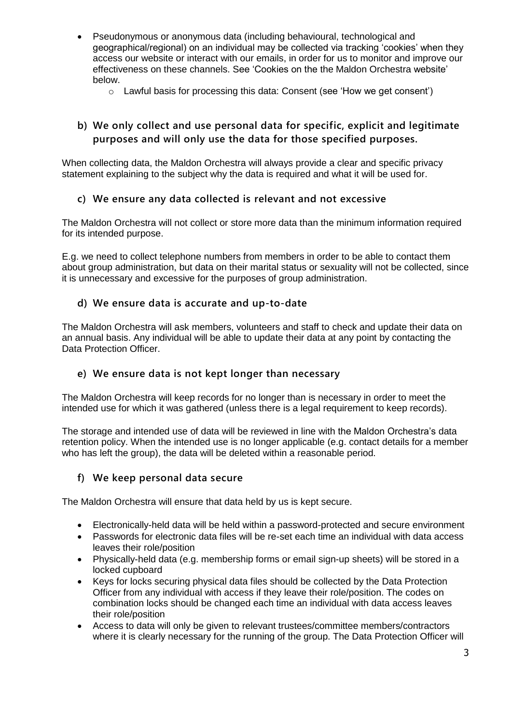- Pseudonymous or anonymous data (including behavioural, technological and geographical/regional) on an individual may be collected via tracking 'cookies' when they access our website or interact with our emails, in order for us to monitor and improve our effectiveness on these channels. See 'Cookies on the the Maldon Orchestra website' below.
	- $\circ$  Lawful basis for processing this data: Consent (see 'How we get consent')

### **b) We only collect and use personal data for specific, explicit and legitimate purposes and will only use the data for those specified purposes.**

When collecting data, the Maldon Orchestra will always provide a clear and specific privacy statement explaining to the subject why the data is required and what it will be used for.

### **c) We ensure any data collected is relevant and not excessive**

The Maldon Orchestra will not collect or store more data than the minimum information required for its intended purpose.

E.g. we need to collect telephone numbers from members in order to be able to contact them about group administration, but data on their marital status or sexuality will not be collected, since it is unnecessary and excessive for the purposes of group administration.

### **d) We ensure data is accurate and up-to-date**

The Maldon Orchestra will ask members, volunteers and staff to check and update their data on an annual basis. Any individual will be able to update their data at any point by contacting the Data Protection Officer.

### **e) We ensure data is not kept longer than necessary**

The Maldon Orchestra will keep records for no longer than is necessary in order to meet the intended use for which it was gathered (unless there is a legal requirement to keep records).

The storage and intended use of data will be reviewed in line with the Maldon Orchestra's data retention policy. When the intended use is no longer applicable (e.g. contact details for a member who has left the group), the data will be deleted within a reasonable period.

### **f) We keep personal data secure**

The Maldon Orchestra will ensure that data held by us is kept secure.

- Electronically-held data will be held within a password-protected and secure environment
- Passwords for electronic data files will be re-set each time an individual with data access leaves their role/position
- Physically-held data (e.g. membership forms or email sign-up sheets) will be stored in a locked cupboard
- Keys for locks securing physical data files should be collected by the Data Protection Officer from any individual with access if they leave their role/position. The codes on combination locks should be changed each time an individual with data access leaves their role/position
- Access to data will only be given to relevant trustees/committee members/contractors where it is clearly necessary for the running of the group. The Data Protection Officer will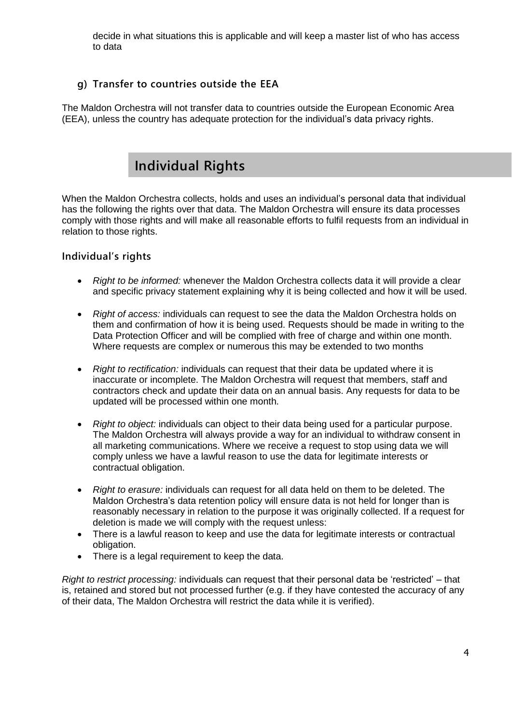decide in what situations this is applicable and will keep a master list of who has access to data

### **g) Transfer to countries outside the EEA**

The Maldon Orchestra will not transfer data to countries outside the European Economic Area (EEA), unless the country has adequate protection for the individual's data privacy rights.

### **Individual Rights**

When the Maldon Orchestra collects, holds and uses an individual's personal data that individual has the following the rights over that data. The Maldon Orchestra will ensure its data processes comply with those rights and will make all reasonable efforts to fulfil requests from an individual in relation to those rights.

### **Individual's rights**

- *Right to be informed:* whenever the Maldon Orchestra collects data it will provide a clear and specific privacy statement explaining why it is being collected and how it will be used.
- *Right of access:* individuals can request to see the data the Maldon Orchestra holds on them and confirmation of how it is being used. Requests should be made in writing to the Data Protection Officer and will be complied with free of charge and within one month. Where requests are complex or numerous this may be extended to two months
- *Right to rectification:* individuals can request that their data be updated where it is inaccurate or incomplete. The Maldon Orchestra will request that members, staff and contractors check and update their data on an annual basis. Any requests for data to be updated will be processed within one month.
- *Right to object:* individuals can object to their data being used for a particular purpose. The Maldon Orchestra will always provide a way for an individual to withdraw consent in all marketing communications. Where we receive a request to stop using data we will comply unless we have a lawful reason to use the data for legitimate interests or contractual obligation.
- *Right to erasure:* individuals can request for all data held on them to be deleted. The Maldon Orchestra's data retention policy will ensure data is not held for longer than is reasonably necessary in relation to the purpose it was originally collected. If a request for deletion is made we will comply with the request unless:
- There is a lawful reason to keep and use the data for legitimate interests or contractual obligation.
- There is a legal requirement to keep the data.

*Right to restrict processing:* individuals can request that their personal data be 'restricted' – that is, retained and stored but not processed further (e.g. if they have contested the accuracy of any of their data, The Maldon Orchestra will restrict the data while it is verified).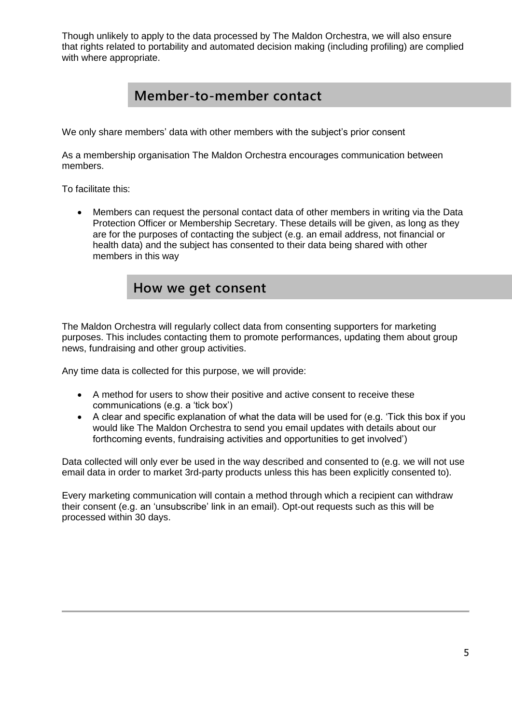Though unlikely to apply to the data processed by The Maldon Orchestra, we will also ensure that rights related to portability and automated decision making (including profiling) are complied with where appropriate.

### **Member-to-member contact**

We only share members' data with other members with the subject's prior consent

As a membership organisation The Maldon Orchestra encourages communication between members.

To facilitate this:

 Members can request the personal contact data of other members in writing via the Data Protection Officer or Membership Secretary. These details will be given, as long as they are for the purposes of contacting the subject (e.g. an email address, not financial or health data) and the subject has consented to their data being shared with other members in this way

### **How we get consent**

The Maldon Orchestra will regularly collect data from consenting supporters for marketing purposes. This includes contacting them to promote performances, updating them about group news, fundraising and other group activities.

Any time data is collected for this purpose, we will provide:

- A method for users to show their positive and active consent to receive these communications (e.g. a 'tick box')
- A clear and specific explanation of what the data will be used for (e.g. 'Tick this box if you would like The Maldon Orchestra to send you email updates with details about our forthcoming events, fundraising activities and opportunities to get involved')

Data collected will only ever be used in the way described and consented to (e.g. we will not use email data in order to market 3rd-party products unless this has been explicitly consented to).

Every marketing communication will contain a method through which a recipient can withdraw their consent (e.g. an 'unsubscribe' link in an email). Opt-out requests such as this will be processed within 30 days.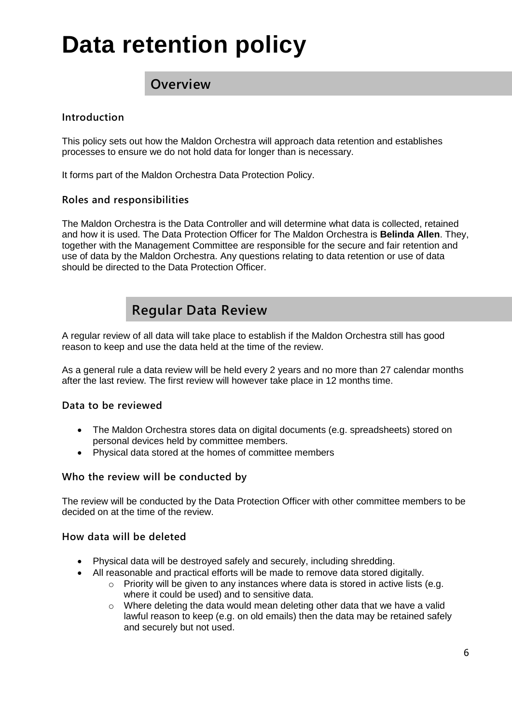# **Data retention policy**

### **Overview**

### **Introduction**

This policy sets out how the Maldon Orchestra will approach data retention and establishes processes to ensure we do not hold data for longer than is necessary.

It forms part of the Maldon Orchestra Data Protection Policy.

#### **Roles and responsibilities**

The Maldon Orchestra is the Data Controller and will determine what data is collected, retained and how it is used. The Data Protection Officer for The Maldon Orchestra is **Belinda Allen**. They, together with the Management Committee are responsible for the secure and fair retention and use of data by the Maldon Orchestra. Any questions relating to data retention or use of data should be directed to the Data Protection Officer.

### **Regular Data Review**

A regular review of all data will take place to establish if the Maldon Orchestra still has good reason to keep and use the data held at the time of the review.

As a general rule a data review will be held every 2 years and no more than 27 calendar months after the last review. The first review will however take place in 12 months time.

### **Data to be reviewed**

- The Maldon Orchestra stores data on digital documents (e.g. spreadsheets) stored on personal devices held by committee members.
- Physical data stored at the homes of committee members

### **Who the review will be conducted by**

The review will be conducted by the Data Protection Officer with other committee members to be decided on at the time of the review.

#### **How data will be deleted**

- Physical data will be destroyed safely and securely, including shredding.
- All reasonable and practical efforts will be made to remove data stored digitally.
	- $\circ$  Priority will be given to any instances where data is stored in active lists (e.g. where it could be used) and to sensitive data.
	- $\circ$  Where deleting the data would mean deleting other data that we have a valid lawful reason to keep (e.g. on old emails) then the data may be retained safely and securely but not used.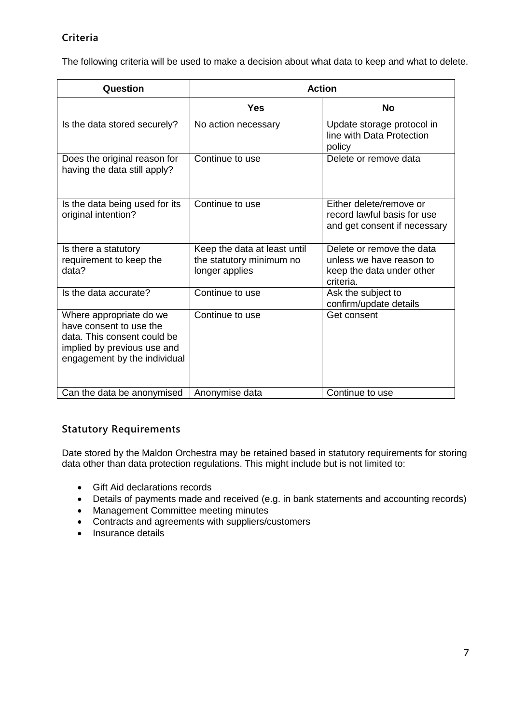### **Criteria**

The following criteria will be used to make a decision about what data to keep and what to delete.

| Question                                                                                                                                         | <b>Action</b>                                                              |                                                                                                 |
|--------------------------------------------------------------------------------------------------------------------------------------------------|----------------------------------------------------------------------------|-------------------------------------------------------------------------------------------------|
|                                                                                                                                                  | <b>Yes</b>                                                                 | No                                                                                              |
| Is the data stored securely?                                                                                                                     | No action necessary                                                        | Update storage protocol in<br>line with Data Protection<br>policy                               |
| Does the original reason for<br>having the data still apply?                                                                                     | Continue to use                                                            | Delete or remove data                                                                           |
| Is the data being used for its<br>original intention?                                                                                            | Continue to use                                                            | Either delete/remove or<br>record lawful basis for use<br>and get consent if necessary          |
| Is there a statutory<br>requirement to keep the<br>data?                                                                                         | Keep the data at least until<br>the statutory minimum no<br>longer applies | Delete or remove the data<br>unless we have reason to<br>keep the data under other<br>criteria. |
| Is the data accurate?                                                                                                                            | Continue to use                                                            | Ask the subject to<br>confirm/update details                                                    |
| Where appropriate do we<br>have consent to use the<br>data. This consent could be<br>implied by previous use and<br>engagement by the individual | Continue to use                                                            | Get consent                                                                                     |
| Can the data be anonymised                                                                                                                       | Anonymise data                                                             | Continue to use                                                                                 |

### **Statutory Requirements**

Date stored by the Maldon Orchestra may be retained based in statutory requirements for storing data other than data protection regulations. This might include but is not limited to:

- Gift Aid declarations records
- Details of payments made and received (e.g. in bank statements and accounting records)
- Management Committee meeting minutes
- Contracts and agreements with suppliers/customers
- $\bullet$  Insurance details